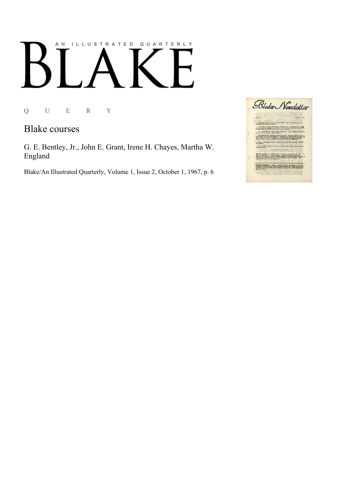## AN ILLUSTRATED QUARTERLY

Q U E R Y

## **Blake** courses

G. E. Bentley, Jr., John E. Grant, Irene H. Chayes, Martha W. England

Blake/An Illustrated Quarterly, Volume 1, Issue 2, October 1, 1967, p. 6